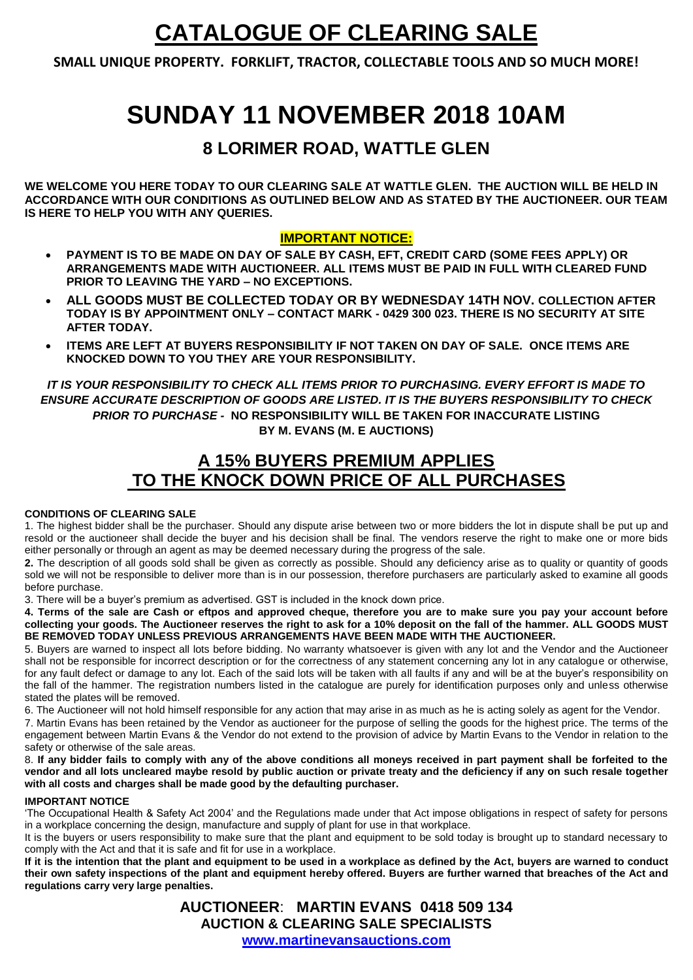## **CATALOGUE OF CLEARING SALE**

**SMALL UNIQUE PROPERTY. FORKLIFT, TRACTOR, COLLECTABLE TOOLS AND SO MUCH MORE!**

# **SUNDAY 11 NOVEMBER 2018 10AM**

### **8 LORIMER ROAD, WATTLE GLEN**

**WE WELCOME YOU HERE TODAY TO OUR CLEARING SALE AT WATTLE GLEN. THE AUCTION WILL BE HELD IN ACCORDANCE WITH OUR CONDITIONS AS OUTLINED BELOW AND AS STATED BY THE AUCTIONEER. OUR TEAM IS HERE TO HELP YOU WITH ANY QUERIES.** 

#### **IMPORTANT NOTICE:**

- **PAYMENT IS TO BE MADE ON DAY OF SALE BY CASH, EFT, CREDIT CARD (SOME FEES APPLY) OR ARRANGEMENTS MADE WITH AUCTIONEER. ALL ITEMS MUST BE PAID IN FULL WITH CLEARED FUND PRIOR TO LEAVING THE YARD – NO EXCEPTIONS.**
- **ALL GOODS MUST BE COLLECTED TODAY OR BY WEDNESDAY 14TH NOV. COLLECTION AFTER TODAY IS BY APPOINTMENT ONLY – CONTACT MARK - 0429 300 023. THERE IS NO SECURITY AT SITE AFTER TODAY.**
- **ITEMS ARE LEFT AT BUYERS RESPONSIBILITY IF NOT TAKEN ON DAY OF SALE. ONCE ITEMS ARE KNOCKED DOWN TO YOU THEY ARE YOUR RESPONSIBILITY.**

*IT IS YOUR RESPONSIBILITY TO CHECK ALL ITEMS PRIOR TO PURCHASING. EVERY EFFORT IS MADE TO ENSURE ACCURATE DESCRIPTION OF GOODS ARE LISTED. IT IS THE BUYERS RESPONSIBILITY TO CHECK PRIOR TO PURCHASE -* **NO RESPONSIBILITY WILL BE TAKEN FOR INACCURATE LISTING BY M. EVANS (M. E AUCTIONS)**

### **A 15% BUYERS PREMIUM APPLIES TO THE KNOCK DOWN PRICE OF ALL PURCHASES**

#### **CONDITIONS OF CLEARING SALE**

1. The highest bidder shall be the purchaser. Should any dispute arise between two or more bidders the lot in dispute shall be put up and resold or the auctioneer shall decide the buyer and his decision shall be final. The vendors reserve the right to make one or more bids either personally or through an agent as may be deemed necessary during the progress of the sale.

**2.** The description of all goods sold shall be given as correctly as possible. Should any deficiency arise as to quality or quantity of goods sold we will not be responsible to deliver more than is in our possession, therefore purchasers are particularly asked to examine all goods before purchase.

3. There will be a buyer's premium as advertised. GST is included in the knock down price.

**4. Terms of the sale are Cash or eftpos and approved cheque, therefore you are to make sure you pay your account before collecting your goods. The Auctioneer reserves the right to ask for a 10% deposit on the fall of the hammer. ALL GOODS MUST BE REMOVED TODAY UNLESS PREVIOUS ARRANGEMENTS HAVE BEEN MADE WITH THE AUCTIONEER.**

5. Buyers are warned to inspect all lots before bidding. No warranty whatsoever is given with any lot and the Vendor and the Auctioneer shall not be responsible for incorrect description or for the correctness of any statement concerning any lot in any catalogue or otherwise, for any fault defect or damage to any lot. Each of the said lots will be taken with all faults if any and will be at the buyer's responsibility on the fall of the hammer. The registration numbers listed in the catalogue are purely for identification purposes only and unless otherwise stated the plates will be removed.

6. The Auctioneer will not hold himself responsible for any action that may arise in as much as he is acting solely as agent for the Vendor.

7. Martin Evans has been retained by the Vendor as auctioneer for the purpose of selling the goods for the highest price. The terms of the engagement between Martin Evans & the Vendor do not extend to the provision of advice by Martin Evans to the Vendor in relation to the safety or otherwise of the sale areas.

8. **If any bidder fails to comply with any of the above conditions all moneys received in part payment shall be forfeited to the vendor and all lots uncleared maybe resold by public auction or private treaty and the deficiency if any on such resale together with all costs and charges shall be made good by the defaulting purchaser.** 

#### **IMPORTANT NOTICE**

'The Occupational Health & Safety Act 2004' and the Regulations made under that Act impose obligations in respect of safety for persons in a workplace concerning the design, manufacture and supply of plant for use in that workplace.

It is the buyers or users responsibility to make sure that the plant and equipment to be sold today is brought up to standard necessary to comply with the Act and that it is safe and fit for use in a workplace.

**If it is the intention that the plant and equipment to be used in a workplace as defined by the Act, buyers are warned to conduct their own safety inspections of the plant and equipment hereby offered. Buyers are further warned that breaches of the Act and regulations carry very large penalties.** 

> **AUCTIONEER**: **MARTIN EVANS 0418 509 134 AUCTION & CLEARING SALE SPECIALISTS**

**[www.martinevansauctions.com](http://www.martinevansauctions.com/)**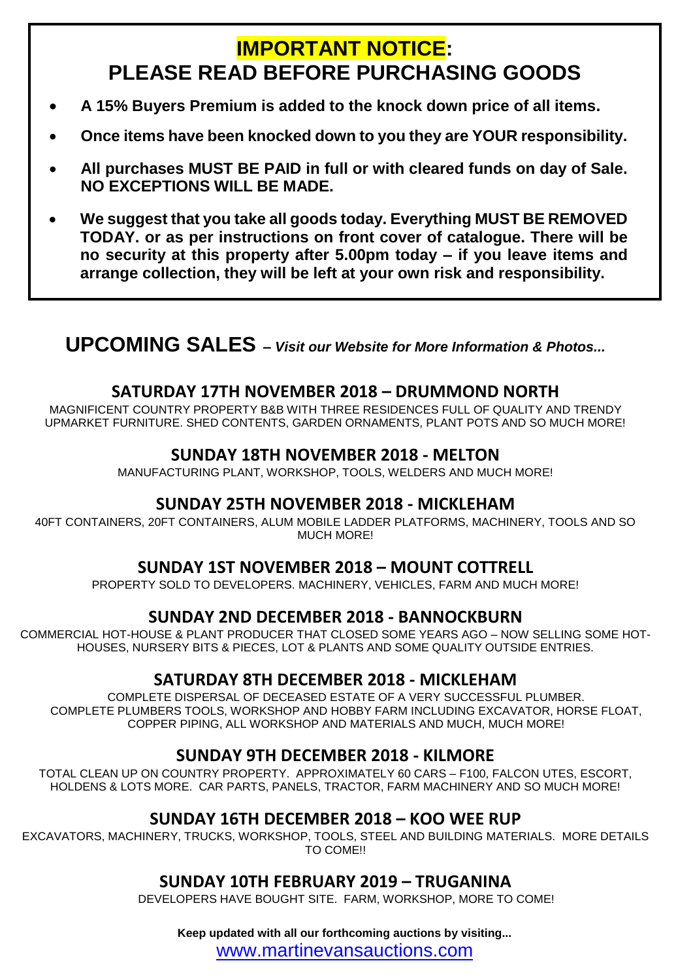## **IMPORTANT NOTICE: PLEASE READ BEFORE PURCHASING GOODS**

- **A 15% Buyers Premium is added to the knock down price of all items.**
- **Once items have been knocked down to you they are YOUR responsibility.**
- **All purchases MUST BE PAID in full or with cleared funds on day of Sale. NO EXCEPTIONS WILL BE MADE.**
- **We suggest that you take all goods today. Everything MUST BE REMOVED TODAY. or as per instructions on front cover of catalogue. There will be no security at this property after 5.00pm today – if you leave items and arrange collection, they will be left at your own risk and responsibility.**

## **UPCOMING SALES –** *Visit our Website for More Information & Photos...*

#### **SATURDAY 17TH NOVEMBER 2018 – DRUMMOND NORTH**

MAGNIFICENT COUNTRY PROPERTY B&B WITH THREE RESIDENCES FULL OF QUALITY AND TRENDY UPMARKET FURNITURE. SHED CONTENTS, GARDEN ORNAMENTS, PLANT POTS AND SO MUCH MORE!

#### **SUNDAY 18TH NOVEMBER 2018 - MELTON**

MANUFACTURING PLANT, WORKSHOP, TOOLS, WELDERS AND MUCH MORE!

#### **SUNDAY 25TH NOVEMBER 2018 - MICKLEHAM**

40FT CONTAINERS, 20FT CONTAINERS, ALUM MOBILE LADDER PLATFORMS, MACHINERY, TOOLS AND SO MUCH MORE!

#### **SUNDAY 1ST NOVEMBER 2018 – MOUNT COTTRELL**

PROPERTY SOLD TO DEVELOPERS. MACHINERY, VEHICLES, FARM AND MUCH MORE!

#### **SUNDAY 2ND DECEMBER 2018 - BANNOCKBURN**

COMMERCIAL HOT-HOUSE & PLANT PRODUCER THAT CLOSED SOME YEARS AGO – NOW SELLING SOME HOT-HOUSES, NURSERY BITS & PIECES, LOT & PLANTS AND SOME QUALITY OUTSIDE ENTRIES.

#### **SATURDAY 8TH DECEMBER 2018 - MICKLEHAM**

COMPLETE DISPERSAL OF DECEASED ESTATE OF A VERY SUCCESSFUL PLUMBER. COMPLETE PLUMBERS TOOLS, WORKSHOP AND HOBBY FARM INCLUDING EXCAVATOR, HORSE FLOAT, COPPER PIPING, ALL WORKSHOP AND MATERIALS AND MUCH, MUCH MORE!

#### **SUNDAY 9TH DECEMBER 2018 - KILMORE**

TOTAL CLEAN UP ON COUNTRY PROPERTY. APPROXIMATELY 60 CARS – F100, FALCON UTES, ESCORT, HOLDENS & LOTS MORE. CAR PARTS, PANELS, TRACTOR, FARM MACHINERY AND SO MUCH MORE!

#### **SUNDAY 16TH DECEMBER 2018 – KOO WEE RUP**

EXCAVATORS, MACHINERY, TRUCKS, WORKSHOP, TOOLS, STEEL AND BUILDING MATERIALS. MORE DETAILS TO COME!!

#### **SUNDAY 10TH FEBRUARY 2019 – TRUGANINA**

DEVELOPERS HAVE BOUGHT SITE. FARM, WORKSHOP, MORE TO COME!

**Keep updated with all our forthcoming auctions by visiting...**

[www.martinevansauctions.com](http://www.martinevansauctions.com/)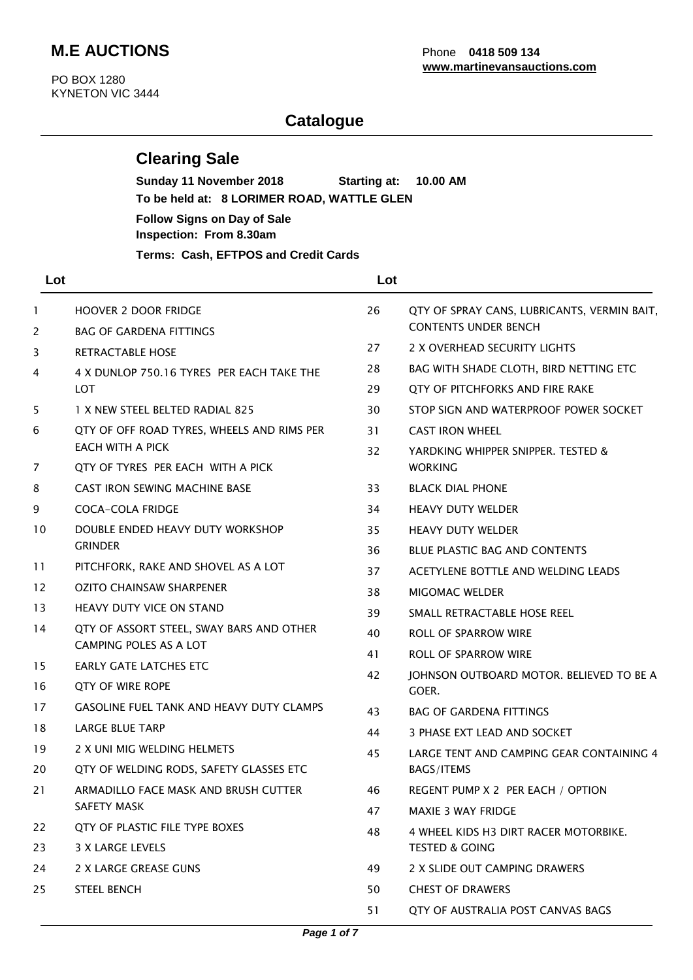### **M.E AUCTIONS** Phone **0418 509 134**

 PO BOX 1280 KYNETON VIC 3444

#### **Catalogue**

#### **Clearing Sale**

 **Sunday 11 November 2018 Starting at: 10.00 AM To be held at: 8 LORIMER ROAD, WATTLE GLEN Follow Signs on Day of Sale Inspection: From 8.30am Terms: Cash, EFTPOS and Credit Cards**

| Lot               |                                                                    | Lot      |                                                              |
|-------------------|--------------------------------------------------------------------|----------|--------------------------------------------------------------|
| 1                 | <b>HOOVER 2 DOOR FRIDGE</b>                                        | 26       | QTY OF SPRAY CANS, LUBRICANTS, VERMIN BAIT,                  |
| 2                 | <b>BAG OF GARDENA FITTINGS</b>                                     |          | <b>CONTENTS UNDER BENCH</b>                                  |
| 3                 | <b>RETRACTABLE HOSE</b>                                            | 27       | 2 X OVERHEAD SECURITY LIGHTS                                 |
| 4                 | 4 X DUNLOP 750.16 TYRES PER EACH TAKE THE                          | 28       | BAG WITH SHADE CLOTH, BIRD NETTING ETC                       |
|                   | <b>LOT</b>                                                         | 29       | QTY OF PITCHFORKS AND FIRE RAKE                              |
| 5                 | 1 X NEW STEEL BELTED RADIAL 825                                    | 30       | STOP SIGN AND WATERPROOF POWER SOCKET                        |
| 6                 | QTY OF OFF ROAD TYRES, WHEELS AND RIMS PER<br>EACH WITH A PICK     | 31<br>32 | <b>CAST IRON WHEEL</b><br>YARDKING WHIPPER SNIPPER. TESTED & |
| 7                 | QTY OF TYRES PER EACH WITH A PICK                                  |          | <b>WORKING</b>                                               |
| 8                 | <b>CAST IRON SEWING MACHINE BASE</b>                               | 33       | <b>BLACK DIAL PHONE</b>                                      |
| 9                 | <b>COCA-COLA FRIDGE</b>                                            | 34       | <b>HEAVY DUTY WELDER</b>                                     |
| 10                | DOUBLE ENDED HEAVY DUTY WORKSHOP<br><b>GRINDER</b>                 | 35       | <b>HEAVY DUTY WELDER</b>                                     |
|                   |                                                                    | 36       | <b>BLUE PLASTIC BAG AND CONTENTS</b>                         |
| 11                | PITCHFORK, RAKE AND SHOVEL AS A LOT                                | 37       | ACETYLENE BOTTLE AND WELDING LEADS                           |
| $12 \overline{ }$ | <b>OZITO CHAINSAW SHARPENER</b>                                    | 38       | <b>MIGOMAC WELDER</b>                                        |
| 13                | <b>HEAVY DUTY VICE ON STAND</b>                                    | 39       | SMALL RETRACTABLE HOSE REEL                                  |
| 14                | QTY OF ASSORT STEEL, SWAY BARS AND OTHER<br>CAMPING POLES AS A LOT | 40       | ROLL OF SPARROW WIRE                                         |
| 15                | EARLY GATE LATCHES ETC                                             | 41       | ROLL OF SPARROW WIRE                                         |
| 16                | <b>QTY OF WIRE ROPE</b>                                            | 42       | JOHNSON OUTBOARD MOTOR. BELIEVED TO BE A<br>GOER.            |
| 17                | <b>GASOLINE FUEL TANK AND HEAVY DUTY CLAMPS</b>                    | 43       | <b>BAG OF GARDENA FITTINGS</b>                               |
| 18                | LARGE BLUE TARP                                                    | 44       | 3 PHASE EXT LEAD AND SOCKET                                  |
| 19                | 2 X UNI MIG WELDING HELMETS                                        | 45       | LARGE TENT AND CAMPING GEAR CONTAINING 4                     |
| 20                | QTY OF WELDING RODS, SAFETY GLASSES ETC                            |          | BAGS/ITEMS                                                   |
| 21                | ARMADILLO FACE MASK AND BRUSH CUTTER                               | 46       | REGENT PUMP X 2 PER EACH / OPTION                            |
|                   | SAFETY MASK                                                        | 47       | <b>MAXIE 3 WAY FRIDGE</b>                                    |
| 22                | QTY OF PLASTIC FILE TYPE BOXES                                     | 48       | 4 WHEEL KIDS H3 DIRT RACER MOTORBIKE.                        |
| 23                | <b>3 X LARGE LEVELS</b>                                            |          | <b>TESTED &amp; GOING</b>                                    |
| 24                | 2 X LARGE GREASE GUNS                                              | 49       | 2 X SLIDE OUT CAMPING DRAWERS                                |
| 25                | <b>STEEL BENCH</b>                                                 | 50       | <b>CHEST OF DRAWERS</b>                                      |
|                   |                                                                    | 51       | QTY OF AUSTRALIA POST CANVAS BAGS                            |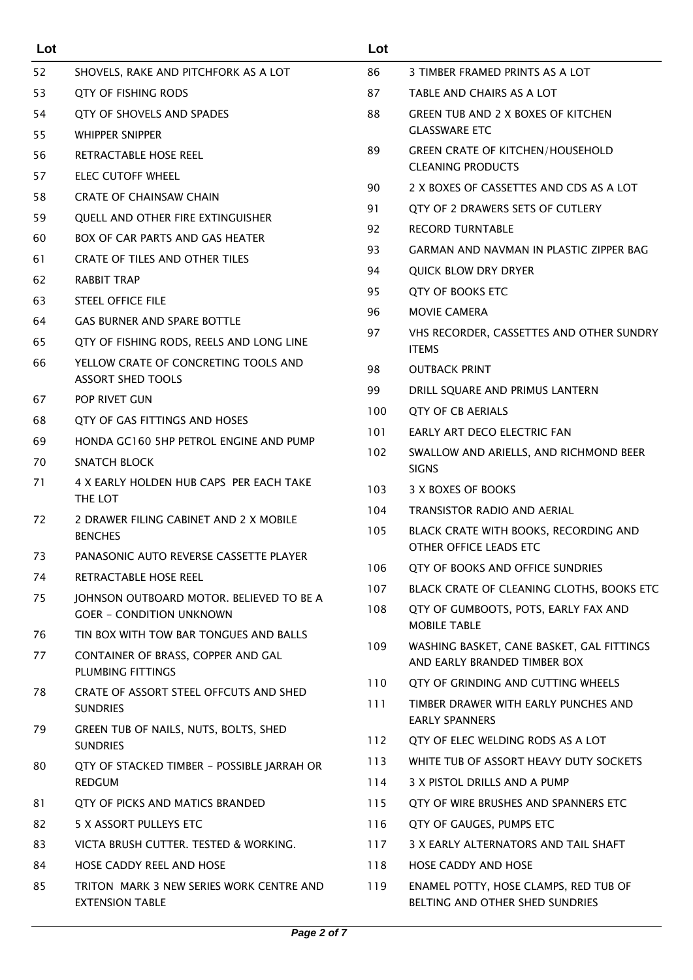| Lot |                                                                             | Lot |                                                                          |
|-----|-----------------------------------------------------------------------------|-----|--------------------------------------------------------------------------|
| 52  | SHOVELS, RAKE AND PITCHFORK AS A LOT                                        | 86  | 3 TIMBER FRAMED PRINTS AS A LOT                                          |
| 53  | <b>QTY OF FISHING RODS</b>                                                  | 87  | TABLE AND CHAIRS AS A LOT                                                |
| 54  | QTY OF SHOVELS AND SPADES                                                   | 88  | <b>GREEN TUB AND 2 X BOXES OF KITCHEN</b>                                |
| 55  | <b>WHIPPER SNIPPER</b>                                                      |     | <b>GLASSWARE ETC</b>                                                     |
| 56  | RETRACTABLE HOSE REEL                                                       | 89  | <b>GREEN CRATE OF KITCHEN/HOUSEHOLD</b>                                  |
| 57  | <b>ELEC CUTOFF WHEEL</b>                                                    |     | <b>CLEANING PRODUCTS</b>                                                 |
| 58  | <b>CRATE OF CHAINSAW CHAIN</b>                                              | 90  | 2 X BOXES OF CASSETTES AND CDS AS A LOT                                  |
| 59  | QUELL AND OTHER FIRE EXTINGUISHER                                           | 91  | QTY OF 2 DRAWERS SETS OF CUTLERY                                         |
| 60  | <b>BOX OF CAR PARTS AND GAS HEATER</b>                                      | 92  | <b>RECORD TURNTABLE</b>                                                  |
| 61  | CRATE OF TILES AND OTHER TILES                                              | 93  | GARMAN AND NAVMAN IN PLASTIC ZIPPER BAG                                  |
| 62  | RABBIT TRAP                                                                 | 94  | <b>QUICK BLOW DRY DRYER</b>                                              |
| 63  | <b>STEEL OFFICE FILE</b>                                                    | 95  | QTY OF BOOKS ETC                                                         |
| 64  | <b>GAS BURNER AND SPARE BOTTLE</b>                                          | 96  | <b>MOVIE CAMERA</b>                                                      |
| 65  | QTY OF FISHING RODS, REELS AND LONG LINE                                    | 97  | VHS RECORDER, CASSETTES AND OTHER SUNDRY<br><b>ITEMS</b>                 |
| 66  | YELLOW CRATE OF CONCRETING TOOLS AND<br><b>ASSORT SHED TOOLS</b>            | 98  | <b>OUTBACK PRINT</b>                                                     |
| 67  | POP RIVET GUN                                                               | 99  | DRILL SQUARE AND PRIMUS LANTERN                                          |
| 68  | QTY OF GAS FITTINGS AND HOSES                                               | 100 | <b>QTY OF CB AERIALS</b>                                                 |
| 69  | HONDA GC160 5HP PETROL ENGINE AND PUMP                                      | 101 | EARLY ART DECO ELECTRIC FAN                                              |
| 70  | <b>SNATCH BLOCK</b>                                                         | 102 | SWALLOW AND ARIELLS, AND RICHMOND BEER<br><b>SIGNS</b>                   |
| 71  | 4 X EARLY HOLDEN HUB CAPS PER EACH TAKE                                     | 103 | 3 X BOXES OF BOOKS                                                       |
|     | THE LOT                                                                     | 104 | <b>TRANSISTOR RADIO AND AERIAL</b>                                       |
| 72  | 2 DRAWER FILING CABINET AND 2 X MOBILE                                      | 105 | BLACK CRATE WITH BOOKS, RECORDING AND                                    |
|     | <b>BENCHES</b>                                                              |     | OTHER OFFICE LEADS ETC                                                   |
| 73  | PANASONIC AUTO REVERSE CASSETTE PLAYER                                      | 106 | QTY OF BOOKS AND OFFICE SUNDRIES                                         |
| 74  | RETRACTABLE HOSE REEL                                                       | 107 | BLACK CRATE OF CLEANING CLOTHS, BOOKS ETC                                |
| 75  | JOHNSON OUTBOARD MOTOR. BELIEVED TO BE A<br><b>GOER - CONDITION UNKNOWN</b> | 108 | QTY OF GUMBOOTS, POTS, EARLY FAX AND<br><b>MOBILE TABLE</b>              |
| 76  | TIN BOX WITH TOW BAR TONGUES AND BALLS                                      | 109 | WASHING BASKET, CANE BASKET, GAL FITTINGS                                |
| 77  | CONTAINER OF BRASS, COPPER AND GAL<br>PLUMBING FITTINGS                     |     | AND EARLY BRANDED TIMBER BOX                                             |
| 78  | CRATE OF ASSORT STEEL OFFCUTS AND SHED                                      | 110 | QTY OF GRINDING AND CUTTING WHEELS                                       |
|     | <b>SUNDRIES</b>                                                             | 111 | TIMBER DRAWER WITH EARLY PUNCHES AND                                     |
| 79  | GREEN TUB OF NAILS, NUTS, BOLTS, SHED<br><b>SUNDRIES</b>                    | 112 | <b>EARLY SPANNERS</b><br>QTY OF ELEC WELDING RODS AS A LOT               |
| 80  | QTY OF STACKED TIMBER - POSSIBLE JARRAH OR                                  | 113 | WHITE TUB OF ASSORT HEAVY DUTY SOCKETS                                   |
|     | <b>REDGUM</b>                                                               | 114 | 3 X PISTOL DRILLS AND A PUMP                                             |
| 81  | QTY OF PICKS AND MATICS BRANDED                                             | 115 | QTY OF WIRE BRUSHES AND SPANNERS ETC                                     |
| 82  | 5 X ASSORT PULLEYS ETC                                                      | 116 | QTY OF GAUGES, PUMPS ETC                                                 |
| 83  | VICTA BRUSH CUTTER. TESTED & WORKING.                                       | 117 | 3 X EARLY ALTERNATORS AND TAIL SHAFT                                     |
| 84  | HOSE CADDY REEL AND HOSE                                                    | 118 | HOSE CADDY AND HOSE                                                      |
| 85  | TRITON MARK 3 NEW SERIES WORK CENTRE AND<br><b>EXTENSION TABLE</b>          | 119 | ENAMEL POTTY, HOSE CLAMPS, RED TUB OF<br>BELTING AND OTHER SHED SUNDRIES |
|     |                                                                             |     |                                                                          |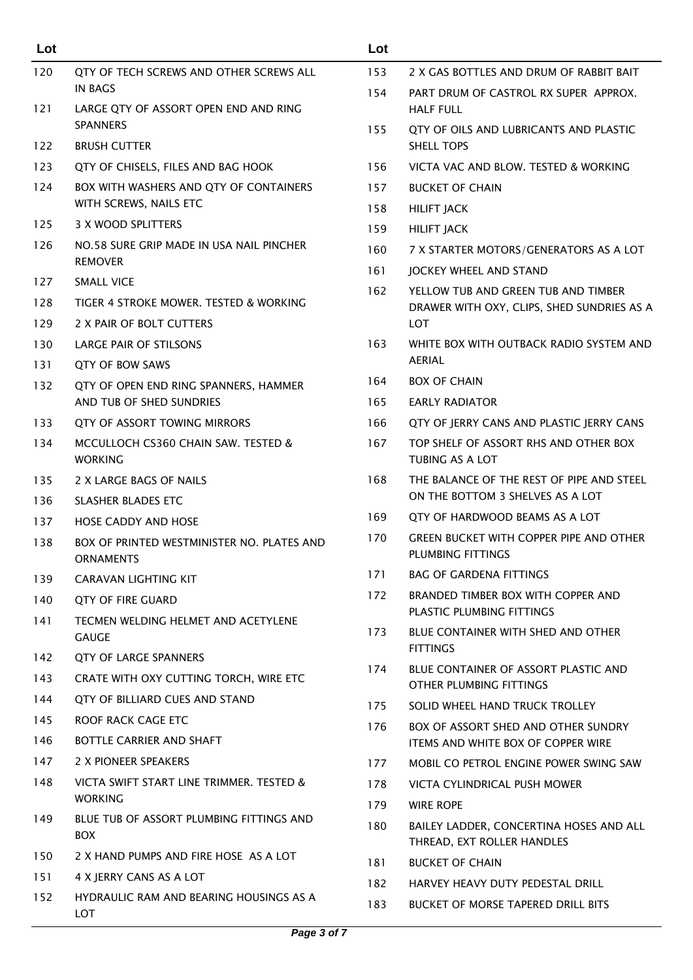| Lot |                                                                  | Lot        |                                                                       |
|-----|------------------------------------------------------------------|------------|-----------------------------------------------------------------------|
| 120 | QTY OF TECH SCREWS AND OTHER SCREWS ALL                          | 153        | 2 X GAS BOTTLES AND DRUM OF RABBIT BAIT                               |
| 121 | <b>IN BAGS</b><br>LARGE QTY OF ASSORT OPEN END AND RING          | 154        | PART DRUM OF CASTROL RX SUPER APPROX.<br><b>HALF FULL</b>             |
|     | <b>SPANNERS</b>                                                  | 155        | QTY OF OILS AND LUBRICANTS AND PLASTIC                                |
| 122 | <b>BRUSH CUTTER</b>                                              |            | SHELL TOPS                                                            |
| 123 | QTY OF CHISELS, FILES AND BAG HOOK                               | 156        | VICTA VAC AND BLOW. TESTED & WORKING                                  |
| 124 | BOX WITH WASHERS AND QTY OF CONTAINERS<br>WITH SCREWS, NAILS ETC | 157        | <b>BUCKET OF CHAIN</b>                                                |
| 125 | 3 X WOOD SPLITTERS                                               | 158        | <b>HILIFT JACK</b>                                                    |
| 126 | NO.58 SURE GRIP MADE IN USA NAIL PINCHER                         | 159        | <b>HILIFT JACK</b>                                                    |
|     | <b>REMOVER</b>                                                   | 160        | 7 X STARTER MOTORS/GENERATORS AS A LOT                                |
| 127 | <b>SMALL VICE</b>                                                | 161<br>162 | JOCKEY WHEEL AND STAND<br>YELLOW TUB AND GREEN TUB AND TIMBER         |
| 128 | TIGER 4 STROKE MOWER. TESTED & WORKING                           |            | DRAWER WITH OXY, CLIPS, SHED SUNDRIES AS A                            |
| 129 | 2 X PAIR OF BOLT CUTTERS                                         |            | <b>LOT</b>                                                            |
| 130 | <b>LARGE PAIR OF STILSONS</b>                                    | 163        | WHITE BOX WITH OUTBACK RADIO SYSTEM AND                               |
| 131 | <b>QTY OF BOW SAWS</b>                                           |            | <b>AERIAL</b>                                                         |
| 132 | QTY OF OPEN END RING SPANNERS, HAMMER                            | 164        | <b>BOX OF CHAIN</b>                                                   |
|     | AND TUB OF SHED SUNDRIES                                         | 165        | <b>EARLY RADIATOR</b>                                                 |
| 133 | QTY OF ASSORT TOWING MIRRORS                                     | 166        | QTY OF JERRY CANS AND PLASTIC JERRY CANS                              |
| 134 | MCCULLOCH CS360 CHAIN SAW. TESTED &<br><b>WORKING</b>            | 167        | TOP SHELF OF ASSORT RHS AND OTHER BOX<br><b>TUBING AS A LOT</b>       |
| 135 | 2 X LARGE BAGS OF NAILS                                          | 168        | THE BALANCE OF THE REST OF PIPE AND STEEL                             |
| 136 | <b>SLASHER BLADES ETC</b>                                        |            | ON THE BOTTOM 3 SHELVES AS A LOT                                      |
| 137 | <b>HOSE CADDY AND HOSE</b>                                       | 169        | QTY OF HARDWOOD BEAMS AS A LOT                                        |
| 138 | BOX OF PRINTED WESTMINISTER NO. PLATES AND<br><b>ORNAMENTS</b>   | 170        | <b>GREEN BUCKET WITH COPPER PIPE AND OTHER</b><br>PLUMBING FITTINGS   |
| 139 | CARAVAN LIGHTING KIT                                             | 171        | <b>BAG OF GARDENA FITTINGS</b>                                        |
| 140 | <b>QTY OF FIRE GUARD</b>                                         | 172        | BRANDED TIMBER BOX WITH COPPER AND                                    |
| 141 | TECMEN WELDING HELMET AND ACETYLENE                              |            | PLASTIC PLUMBING FITTINGS                                             |
|     | <b>GAUGE</b>                                                     | 173        | BLUE CONTAINER WITH SHED AND OTHER<br><b>FITTINGS</b>                 |
| 142 | QTY OF LARGE SPANNERS                                            | 174        | BLUE CONTAINER OF ASSORT PLASTIC AND                                  |
| 143 | CRATE WITH OXY CUTTING TORCH, WIRE ETC                           |            | OTHER PLUMBING FITTINGS                                               |
| 144 | QTY OF BILLIARD CUES AND STAND                                   | 175        | SOLID WHEEL HAND TRUCK TROLLEY                                        |
| 145 | ROOF RACK CAGE ETC                                               | 176        | BOX OF ASSORT SHED AND OTHER SUNDRY                                   |
| 146 | BOTTLE CARRIER AND SHAFT                                         |            | <b>ITEMS AND WHITE BOX OF COPPER WIRE</b>                             |
| 147 | 2 X PIONEER SPEAKERS                                             | 177        | MOBIL CO PETROL ENGINE POWER SWING SAW                                |
| 148 | VICTA SWIFT START LINE TRIMMER. TESTED &                         | 178        | VICTA CYLINDRICAL PUSH MOWER                                          |
|     | <b>WORKING</b>                                                   | 179        | <b>WIRE ROPE</b>                                                      |
| 149 | BLUE TUB OF ASSORT PLUMBING FITTINGS AND<br><b>BOX</b>           | 180        | BAILEY LADDER, CONCERTINA HOSES AND ALL<br>THREAD, EXT ROLLER HANDLES |
| 150 | 2 X HAND PUMPS AND FIRE HOSE AS A LOT                            | 181        | <b>BUCKET OF CHAIN</b>                                                |
| 151 | 4 X JERRY CANS AS A LOT                                          | 182        | HARVEY HEAVY DUTY PEDESTAL DRILL                                      |
| 152 | HYDRAULIC RAM AND BEARING HOUSINGS AS A<br>LOT                   | 183        | <b>BUCKET OF MORSE TAPERED DRILL BITS</b>                             |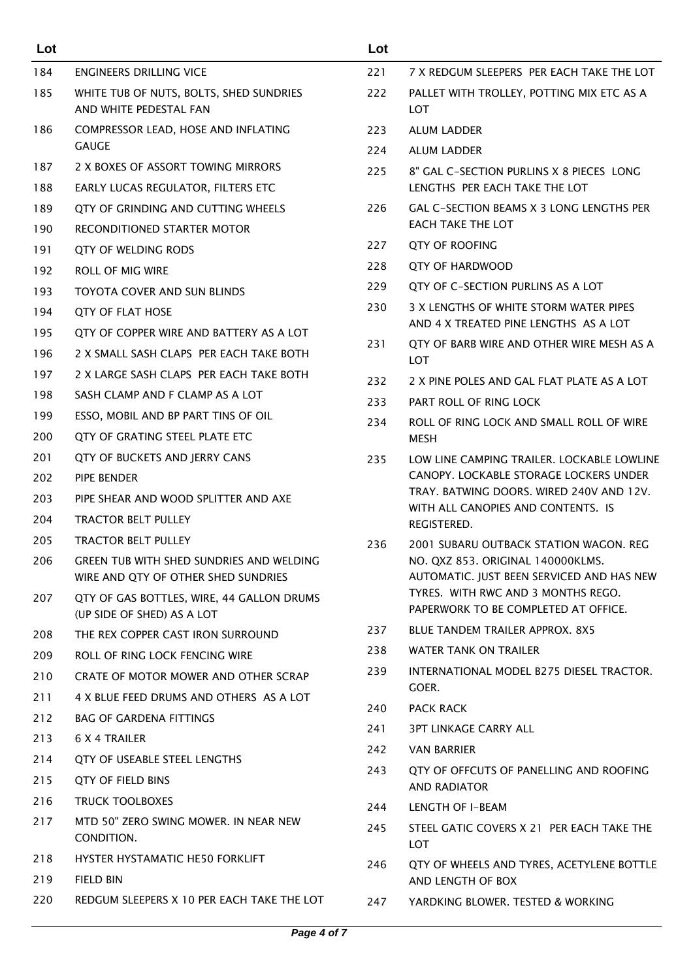| Lot |                                                                                 | Lot  |                                                                                 |
|-----|---------------------------------------------------------------------------------|------|---------------------------------------------------------------------------------|
| 184 | ENGINEERS DRILLING VICE                                                         | 221  | 7 X REDGUM SLEEPERS PER EACH TAKE THE LOT                                       |
| 185 | WHITE TUB OF NUTS, BOLTS, SHED SUNDRIES<br>AND WHITE PEDESTAL FAN               | 222  | PALLET WITH TROLLEY, POTTING MIX ETC AS A<br>LOT                                |
| 186 | COMPRESSOR LEAD, HOSE AND INFLATING                                             | 223  | <b>ALUM LADDER</b>                                                              |
|     | <b>GAUGE</b>                                                                    | 224  | <b>ALUM LADDER</b>                                                              |
| 187 | 2 X BOXES OF ASSORT TOWING MIRRORS                                              | 225  | 8" GAL C-SECTION PURLINS X 8 PIECES LONG                                        |
| 188 | EARLY LUCAS REGULATOR, FILTERS ETC                                              |      | LENGTHS PER EACH TAKE THE LOT                                                   |
| 189 | QTY OF GRINDING AND CUTTING WHEELS                                              | 226  | <b>GAL C-SECTION BEAMS X 3 LONG LENGTHS PER</b>                                 |
| 190 | RECONDITIONED STARTER MOTOR                                                     |      | EACH TAKE THE LOT                                                               |
| 191 | QTY OF WELDING RODS                                                             | 227  | <b>QTY OF ROOFING</b>                                                           |
| 192 | <b>ROLL OF MIG WIRE</b>                                                         | 228  | <b>QTY OF HARDWOOD</b>                                                          |
| 193 | TOYOTA COVER AND SUN BLINDS                                                     | 229  | QTY OF C-SECTION PURLINS AS A LOT                                               |
| 194 | <b>QTY OF FLAT HOSE</b>                                                         | 230  | 3 X LENGTHS OF WHITE STORM WATER PIPES<br>AND 4 X TREATED PINE LENGTHS AS A LOT |
| 195 | QTY OF COPPER WIRE AND BATTERY AS A LOT                                         | 231  | QTY OF BARB WIRE AND OTHER WIRE MESH AS A                                       |
| 196 | 2 X SMALL SASH CLAPS PER EACH TAKE BOTH                                         |      | LOT                                                                             |
| 197 | 2 X LARGE SASH CLAPS PER EACH TAKE BOTH                                         | 232  | 2 X PINE POLES AND GAL FLAT PLATE AS A LOT                                      |
| 198 | SASH CLAMP AND F CLAMP AS A LOT                                                 | 233  | PART ROLL OF RING LOCK                                                          |
| 199 | ESSO, MOBIL AND BP PART TINS OF OIL                                             | 234  | ROLL OF RING LOCK AND SMALL ROLL OF WIRE                                        |
| 200 | QTY OF GRATING STEEL PLATE ETC                                                  |      | <b>MESH</b>                                                                     |
| 201 | QTY OF BUCKETS AND JERRY CANS                                                   | 235  | LOW LINE CAMPING TRAILER. LOCKABLE LOWLINE                                      |
| 202 | PIPE BENDER                                                                     |      | CANOPY. LOCKABLE STORAGE LOCKERS UNDER                                          |
| 203 | PIPE SHEAR AND WOOD SPLITTER AND AXE                                            |      | TRAY, BATWING DOORS, WIRED 240V AND 12V.<br>WITH ALL CANOPIES AND CONTENTS. IS  |
| 204 | <b>TRACTOR BELT PULLEY</b>                                                      |      | REGISTERED.                                                                     |
| 205 | <b>TRACTOR BELT PULLEY</b>                                                      | 236  | 2001 SUBARU OUTBACK STATION WAGON, REG                                          |
| 206 | GREEN TUB WITH SHED SUNDRIES AND WELDING<br>WIRE AND QTY OF OTHER SHED SUNDRIES |      | NO. QXZ 853. ORIGINAL 140000KLMS.<br>AUTOMATIC. JUST BEEN SERVICED AND HAS NEW  |
| 207 | QTY OF GAS BOTTLES, WIRE, 44 GALLON DRUMS<br>(UP SIDE OF SHED) AS A LOT         |      | TYRES. WITH RWC AND 3 MONTHS REGO.<br>PAPERWORK TO BE COMPLETED AT OFFICE.      |
| 208 | THE REX COPPER CAST IRON SURROUND                                               | 237  | BLUE TANDEM TRAILER APPROX. 8X5                                                 |
| 209 | ROLL OF RING LOCK FENCING WIRE                                                  | 238  | WATER TANK ON TRAILER                                                           |
| 210 | CRATE OF MOTOR MOWER AND OTHER SCRAP                                            | 239  | INTERNATIONAL MODEL B275 DIESEL TRACTOR.                                        |
| 211 | 4 X BLUE FEED DRUMS AND OTHERS AS A LOT                                         |      | GOER.                                                                           |
| 212 | <b>BAG OF GARDENA FITTINGS</b>                                                  | 240  | <b>PACK RACK</b>                                                                |
| 213 | <b>6 X 4 TRAILER</b>                                                            | 241  | 3PT LINKAGE CARRY ALL                                                           |
| 214 | QTY OF USEABLE STEEL LENGTHS                                                    | 242  | <b>VAN BARRIER</b>                                                              |
| 215 | QTY OF FIELD BINS                                                               | 243. | QTY OF OFFCUTS OF PANELLING AND ROOFING<br><b>AND RADIATOR</b>                  |
| 216 | <b>TRUCK TOOLBOXES</b>                                                          | 244  | LENGTH OF I-BEAM                                                                |
| 217 | MTD 50" ZERO SWING MOWER. IN NEAR NEW<br>CONDITION.                             | 245  | STEEL GATIC COVERS X 21 PER EACH TAKE THE<br>LOT                                |
| 218 | HYSTER HYSTAMATIC HE50 FORKLIFT                                                 | 246  | QTY OF WHEELS AND TYRES, ACETYLENE BOTTLE                                       |
| 219 | <b>FIELD BIN</b>                                                                |      | AND LENGTH OF BOX                                                               |
| 220 | REDGUM SLEEPERS X 10 PER EACH TAKE THE LOT                                      | 247  | YARDKING BLOWER. TESTED & WORKING                                               |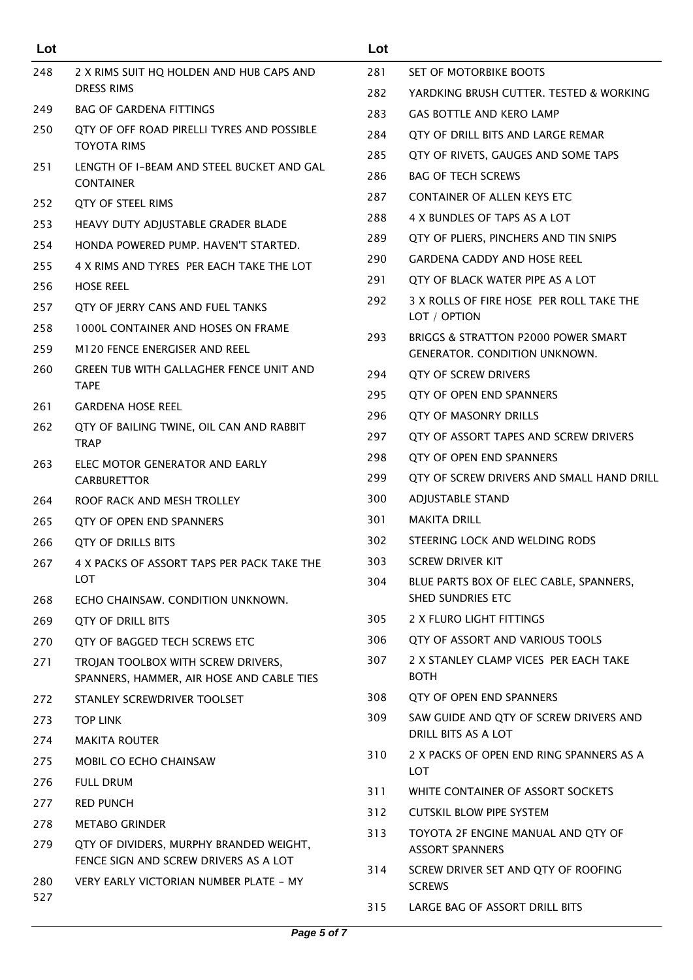| Lot |                                                                                 | Lot |                                                                             |
|-----|---------------------------------------------------------------------------------|-----|-----------------------------------------------------------------------------|
| 248 | 2 X RIMS SUIT HQ HOLDEN AND HUB CAPS AND                                        | 281 | SET OF MOTORBIKE BOOTS                                                      |
|     | <b>DRESS RIMS</b>                                                               | 282 | YARDKING BRUSH CUTTER. TESTED & WORKING                                     |
| 249 | <b>BAG OF GARDENA FITTINGS</b>                                                  | 283 | GAS BOTTLE AND KERO LAMP                                                    |
| 250 | QTY OF OFF ROAD PIRELLI TYRES AND POSSIBLE                                      | 284 | QTY OF DRILL BITS AND LARGE REMAR                                           |
|     | <b>TOYOTA RIMS</b>                                                              | 285 | QTY OF RIVETS, GAUGES AND SOME TAPS                                         |
| 251 | LENGTH OF I-BEAM AND STEEL BUCKET AND GAL<br><b>CONTAINER</b>                   | 286 | <b>BAG OF TECH SCREWS</b>                                                   |
| 252 | <b>QTY OF STEEL RIMS</b>                                                        | 287 | <b>CONTAINER OF ALLEN KEYS ETC</b>                                          |
| 253 | HEAVY DUTY ADJUSTABLE GRADER BLADE                                              | 288 | 4 X BUNDLES OF TAPS AS A LOT                                                |
| 254 | HONDA POWERED PUMP. HAVEN'T STARTED.                                            | 289 | QTY OF PLIERS, PINCHERS AND TIN SNIPS                                       |
| 255 | 4 X RIMS AND TYRES PER EACH TAKE THE LOT                                        | 290 | GARDENA CADDY AND HOSE REEL                                                 |
| 256 | <b>HOSE REEL</b>                                                                | 291 | QTY OF BLACK WATER PIPE AS A LOT                                            |
| 257 | QTY OF JERRY CANS AND FUEL TANKS                                                | 292 | 3 X ROLLS OF FIRE HOSE PER ROLL TAKE THE                                    |
| 258 | <b>1000L CONTAINER AND HOSES ON FRAME</b>                                       |     | LOT / OPTION                                                                |
| 259 | M120 FENCE ENERGISER AND REEL                                                   | 293 | BRIGGS & STRATTON P2000 POWER SMART<br><b>GENERATOR, CONDITION UNKNOWN.</b> |
| 260 | GREEN TUB WITH GALLAGHER FENCE UNIT AND                                         | 294 | QTY OF SCREW DRIVERS                                                        |
|     | <b>TAPE</b>                                                                     | 295 | QTY OF OPEN END SPANNERS                                                    |
| 261 | <b>GARDENA HOSE REEL</b>                                                        | 296 | <b>QTY OF MASONRY DRILLS</b>                                                |
| 262 | QTY OF BAILING TWINE, OIL CAN AND RABBIT                                        | 297 | QTY OF ASSORT TAPES AND SCREW DRIVERS                                       |
|     | <b>TRAP</b><br>ELEC MOTOR GENERATOR AND EARLY<br><b>CARBURETTOR</b>             | 298 | QTY OF OPEN END SPANNERS                                                    |
| 263 |                                                                                 | 299 | QTY OF SCREW DRIVERS AND SMALL HAND DRILL                                   |
| 264 | ROOF RACK AND MESH TROLLEY                                                      | 300 | <b>ADJUSTABLE STAND</b>                                                     |
| 265 | QTY OF OPEN END SPANNERS                                                        | 301 | <b>MAKITA DRILL</b>                                                         |
| 266 | <b>OTY OF DRILLS BITS</b>                                                       | 302 | STEERING LOCK AND WELDING RODS                                              |
| 267 | 4 X PACKS OF ASSORT TAPS PER PACK TAKE THE                                      | 303 | SCREW DRIVER KIT                                                            |
|     | LOT                                                                             | 304 | BLUE PARTS BOX OF ELEC CABLE, SPANNERS,                                     |
| 268 | ECHO CHAINSAW. CONDITION UNKNOWN.                                               |     | SHED SUNDRIES ETC                                                           |
| 269 | <b>QTY OF DRILL BITS</b>                                                        | 305 | 2 X FLURO LIGHT FITTINGS                                                    |
| 270 | QTY OF BAGGED TECH SCREWS ETC                                                   | 306 | QTY OF ASSORT AND VARIOUS TOOLS                                             |
| 271 | TROJAN TOOLBOX WITH SCREW DRIVERS,<br>SPANNERS, HAMMER, AIR HOSE AND CABLE TIES | 307 | 2 X STANLEY CLAMP VICES PER EACH TAKE<br><b>BOTH</b>                        |
| 272 | STANLEY SCREWDRIVER TOOLSET                                                     | 308 | QTY OF OPEN END SPANNERS                                                    |
| 273 | <b>TOP LINK</b>                                                                 | 309 | SAW GUIDE AND QTY OF SCREW DRIVERS AND                                      |
| 274 | <b>MAKITA ROUTER</b>                                                            |     | DRILL BITS AS A LOT                                                         |
| 275 | MOBIL CO ECHO CHAINSAW                                                          | 310 | 2 X PACKS OF OPEN END RING SPANNERS AS A<br>LOT                             |
| 276 | <b>FULL DRUM</b>                                                                | 311 | WHITE CONTAINER OF ASSORT SOCKETS                                           |
| 277 | <b>RED PUNCH</b>                                                                | 312 | <b>CUTSKIL BLOW PIPE SYSTEM</b>                                             |
| 278 | <b>METABO GRINDER</b>                                                           | 313 | TOYOTA 2F ENGINE MANUAL AND QTY OF                                          |
| 279 | QTY OF DIVIDERS, MURPHY BRANDED WEIGHT,                                         |     | <b>ASSORT SPANNERS</b>                                                      |
| 280 | FENCE SIGN AND SCREW DRIVERS AS A LOT<br>VERY EARLY VICTORIAN NUMBER PLATE - MY | 314 | SCREW DRIVER SET AND QTY OF ROOFING<br><b>SCREWS</b>                        |
| 527 |                                                                                 | 315 | LARGE BAG OF ASSORT DRILL BITS                                              |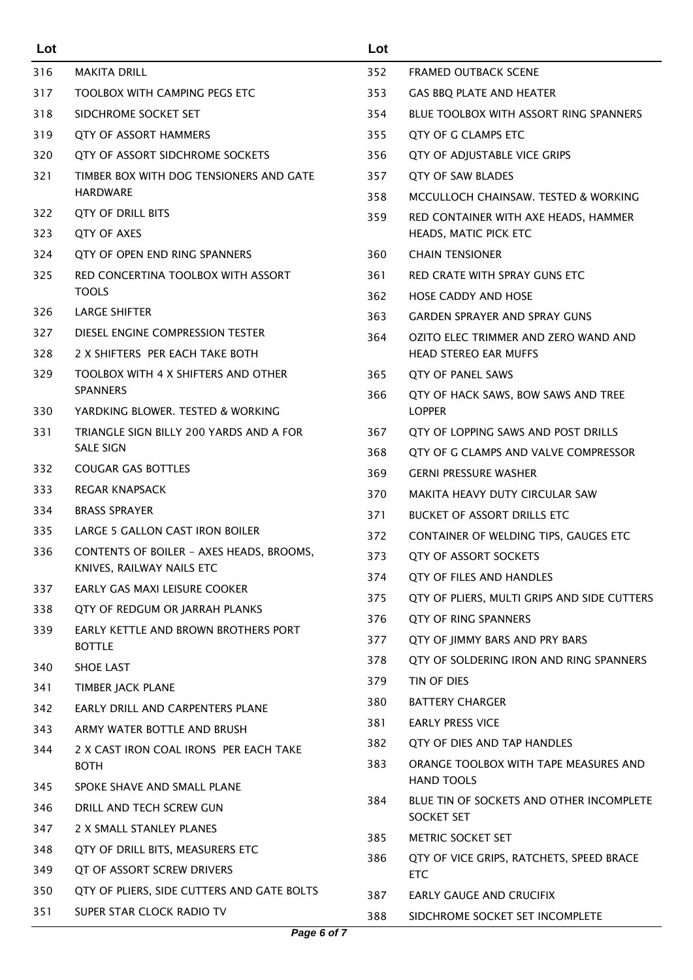| Lot        |                                                                        | Lot |                                                        |
|------------|------------------------------------------------------------------------|-----|--------------------------------------------------------|
| 316        | <b>MAKITA DRILL</b>                                                    | 352 | <b>FRAMED OUTBACK SCENE</b>                            |
| 317        | <b>TOOLBOX WITH CAMPING PEGS ETC</b>                                   | 353 | GAS BBQ PLATE AND HEATER                               |
| 318        | SIDCHROME SOCKET SET                                                   | 354 | <b>BLUE TOOLBOX WITH ASSORT RING SPANNERS</b>          |
| 319        | <b>QTY OF ASSORT HAMMERS</b>                                           | 355 | QTY OF G CLAMPS ETC                                    |
| 320        | QTY OF ASSORT SIDCHROME SOCKETS                                        | 356 | QTY OF ADJUSTABLE VICE GRIPS                           |
| 321        | TIMBER BOX WITH DOG TENSIONERS AND GATE                                | 357 | <b>QTY OF SAW BLADES</b>                               |
|            | <b>HARDWARE</b>                                                        | 358 | MCCULLOCH CHAINSAW. TESTED & WORKING                   |
| 322        | QTY OF DRILL BITS                                                      | 359 | RED CONTAINER WITH AXE HEADS, HAMMER                   |
| 323        | QTY OF AXES                                                            |     | HEADS, MATIC PICK ETC                                  |
| 324        | QTY OF OPEN END RING SPANNERS                                          | 360 | <b>CHAIN TENSIONER</b>                                 |
| 325        | RED CONCERTINA TOOLBOX WITH ASSORT                                     | 361 | RED CRATE WITH SPRAY GUNS ETC                          |
|            | <b>TOOLS</b>                                                           | 362 | <b>HOSE CADDY AND HOSE</b>                             |
| 326        | <b>LARGE SHIFTER</b>                                                   | 363 | <b>GARDEN SPRAYER AND SPRAY GUNS</b>                   |
| 327        | DIESEL ENGINE COMPRESSION TESTER                                       | 364 | OZITO ELEC TRIMMER AND ZERO WAND AND                   |
| 328        | 2 X SHIFTERS PER EACH TAKE BOTH                                        |     | <b>HEAD STEREO EAR MUFFS</b>                           |
| 329        | TOOLBOX WITH 4 X SHIFTERS AND OTHER<br><b>SPANNERS</b>                 | 365 | QTY OF PANEL SAWS                                      |
| 330        | YARDKING BLOWER. TESTED & WORKING                                      | 366 | QTY OF HACK SAWS, BOW SAWS AND TREE<br><b>LOPPER</b>   |
| 331        | TRIANGLE SIGN BILLY 200 YARDS AND A FOR                                | 367 | QTY OF LOPPING SAWS AND POST DRILLS                    |
|            | <b>SALE SIGN</b>                                                       | 368 | QTY OF G CLAMPS AND VALVE COMPRESSOR                   |
| 332        | <b>COUGAR GAS BOTTLES</b>                                              | 369 | <b>GERNI PRESSURE WASHER</b>                           |
| 333        | REGAR KNAPSACK                                                         | 370 | MAKITA HEAVY DUTY CIRCULAR SAW                         |
| 334        | <b>BRASS SPRAYER</b>                                                   | 371 | <b>BUCKET OF ASSORT DRILLS ETC</b>                     |
| 335        | LARGE 5 GALLON CAST IRON BOILER                                        | 372 | CONTAINER OF WELDING TIPS, GAUGES ETC                  |
| 336        | CONTENTS OF BOILER - AXES HEADS, BROOMS,                               | 373 | <b>QTY OF ASSORT SOCKETS</b>                           |
|            | KNIVES, RAILWAY NAILS ETC<br>EARLY GAS MAXI LEISURE COOKER             | 374 | QTY OF FILES AND HANDLES                               |
| 337        |                                                                        | 375 | QTY OF PLIERS, MULTI GRIPS AND SIDE CUTTERS            |
| 338<br>339 | QTY OF REDGUM OR JARRAH PLANKS<br>EARLY KETTLE AND BROWN BROTHERS PORT | 376 | QTY OF RING SPANNERS                                   |
|            | <b>BOTTLE</b>                                                          | 377 | QTY OF JIMMY BARS AND PRY BARS                         |
| 340        | <b>SHOE LAST</b>                                                       | 378 | QTY OF SOLDERING IRON AND RING SPANNERS                |
| 341        | TIMBER JACK PLANE                                                      | 379 | TIN OF DIES                                            |
| 342        | EARLY DRILL AND CARPENTERS PLANE                                       | 380 | <b>BATTERY CHARGER</b>                                 |
| 343        | ARMY WATER BOTTLE AND BRUSH                                            | 381 | <b>EARLY PRESS VICE</b>                                |
| 344        | 2 X CAST IRON COAL IRONS PER EACH TAKE                                 | 382 | QTY OF DIES AND TAP HANDLES                            |
|            | <b>BOTH</b>                                                            | 383 | ORANGE TOOLBOX WITH TAPE MEASURES AND                  |
| 345        | SPOKE SHAVE AND SMALL PLANE                                            |     | <b>HAND TOOLS</b>                                      |
| 346        | DRILL AND TECH SCREW GUN                                               | 384 | BLUE TIN OF SOCKETS AND OTHER INCOMPLETE<br>SOCKET SET |
| 347        | 2 X SMALL STANLEY PLANES                                               | 385 | METRIC SOCKET SET                                      |
| 348        | QTY OF DRILL BITS, MEASURERS ETC                                       | 386 | QTY OF VICE GRIPS, RATCHETS, SPEED BRACE               |
| 349        | QT OF ASSORT SCREW DRIVERS                                             |     | <b>ETC</b>                                             |
| 350        | QTY OF PLIERS, SIDE CUTTERS AND GATE BOLTS                             | 387 | EARLY GAUGE AND CRUCIFIX                               |
| 351        | SUPER STAR CLOCK RADIO TV                                              | 388 | SIDCHROME SOCKET SET INCOMPLETE                        |